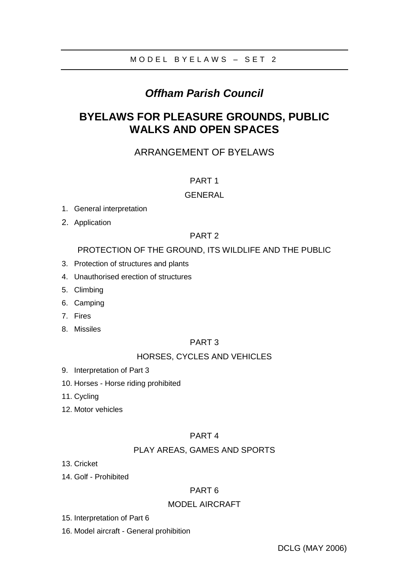# *Offham Parish Council*

# **BYELAWS FOR PLEASURE GROUNDS, PUBLIC WALKS AND OPEN SPACES**

# ARRANGEMENT OF BYELAWS

## PART 1

## **GENERAL**

- 1. General interpretation
- 2. Application

## PART 2

## PROTECTION OF THE GROUND, ITS WILDLIFE AND THE PUBLIC

- 3. Protection of structures and plants
- 4. Unauthorised erection of structures
- 5. Climbing
- 6. Camping
- 7. Fires
- 8. Missiles

### PART 3

## HORSES, CYCLES AND VEHICLES

- 9. Interpretation of Part 3
- 10. Horses Horse riding prohibited
- 11. Cycling
- 12. Motor vehicles

### PART 4

### PLAY AREAS, GAMES AND SPORTS

- 13. Cricket
- 14. Golf Prohibited

### PART 6

### MODEL AIRCRAFT

- 15. Interpretation of Part 6
- 16. Model aircraft General prohibition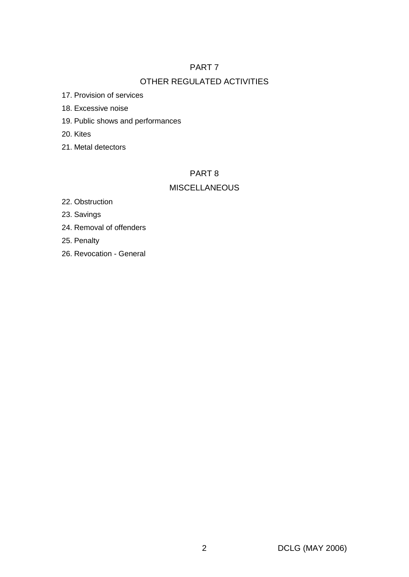# PART 7

# OTHER REGULATED ACTIVITIES

17. Provision of services

- 18. Excessive noise
- 19. Public shows and performances

20. Kites

21. Metal detectors

# PART 8

# **MISCELLANEOUS**

22. Obstruction

23. Savings

24. Removal of offenders

25. Penalty

26. Revocation - General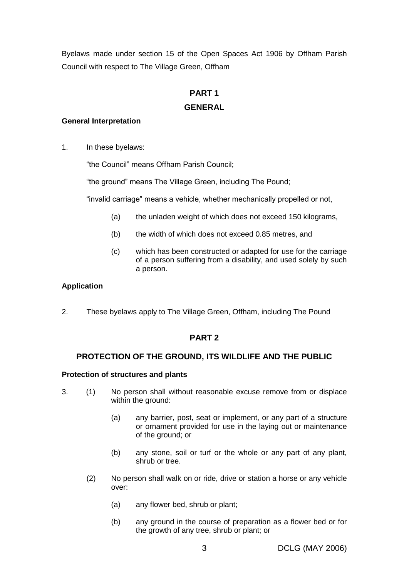Byelaws made under section 15 of the Open Spaces Act 1906 by Offham Parish Council with respect to The Village Green, Offham

## **PART 1**

### **GENERAL**

### **General Interpretation**

1. In these byelaws:

"the Council" means Offham Parish Council;

"the ground" means The Village Green, including The Pound;

"invalid carriage" means a vehicle, whether mechanically propelled or not,

- (a) the unladen weight of which does not exceed 150 kilograms,
- (b) the width of which does not exceed 0.85 metres, and
- (c) which has been constructed or adapted for use for the carriage of a person suffering from a disability, and used solely by such a person.

### **Application**

2. These byelaws apply to The Village Green, Offham, including The Pound

# **PART 2**

### **PROTECTION OF THE GROUND, ITS WILDLIFE AND THE PUBLIC**

### **Protection of structures and plants**

- 3. (1) No person shall without reasonable excuse remove from or displace within the ground:
	- (a) any barrier, post, seat or implement, or any part of a structure or ornament provided for use in the laying out or maintenance of the ground; or
	- (b) any stone, soil or turf or the whole or any part of any plant, shrub or tree.
	- (2) No person shall walk on or ride, drive or station a horse or any vehicle over:
		- (a) any flower bed, shrub or plant;
		- (b) any ground in the course of preparation as a flower bed or for the growth of any tree, shrub or plant; or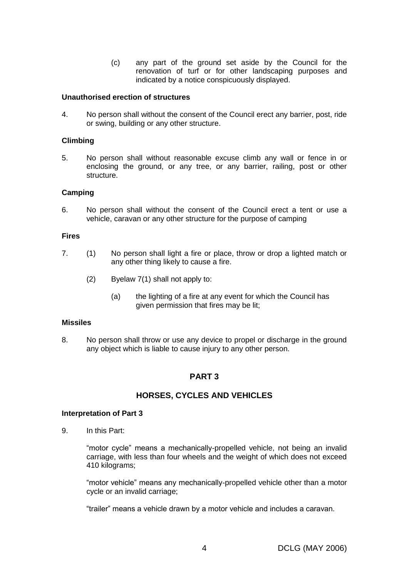(c) any part of the ground set aside by the Council for the renovation of turf or for other landscaping purposes and indicated by a notice conspicuously displayed.

### **Unauthorised erection of structures**

4. No person shall without the consent of the Council erect any barrier, post, ride or swing, building or any other structure.

#### **Climbing**

5. No person shall without reasonable excuse climb any wall or fence in or enclosing the ground, or any tree, or any barrier, railing, post or other structure.

#### **Camping**

6. No person shall without the consent of the Council erect a tent or use a vehicle, caravan or any other structure for the purpose of camping

#### **Fires**

- 7. (1) No person shall light a fire or place, throw or drop a lighted match or any other thing likely to cause a fire.
	- (2) Byelaw 7(1) shall not apply to:
		- (a) the lighting of a fire at any event for which the Council has given permission that fires may be lit;

#### **Missiles**

8. No person shall throw or use any device to propel or discharge in the ground any object which is liable to cause injury to any other person.

### **PART 3**

### **HORSES, CYCLES AND VEHICLES**

#### **Interpretation of Part 3**

9. In this Part:

"motor cycle" means a mechanically-propelled vehicle, not being an invalid carriage, with less than four wheels and the weight of which does not exceed 410 kilograms;

"motor vehicle" means any mechanically-propelled vehicle other than a motor cycle or an invalid carriage;

"trailer" means a vehicle drawn by a motor vehicle and includes a caravan.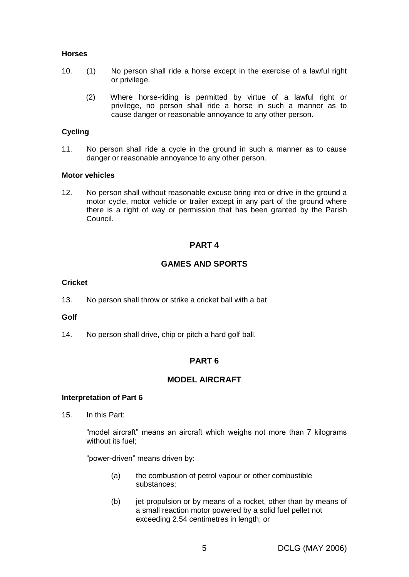#### **Horses**

- 10. (1) No person shall ride a horse except in the exercise of a lawful right or privilege.
	- (2) Where horse-riding is permitted by virtue of a lawful right or privilege, no person shall ride a horse in such a manner as to cause danger or reasonable annoyance to any other person.

### **Cycling**

11. No person shall ride a cycle in the ground in such a manner as to cause danger or reasonable annoyance to any other person.

#### **Motor vehicles**

12. No person shall without reasonable excuse bring into or drive in the ground a motor cycle, motor vehicle or trailer except in any part of the ground where there is a right of way or permission that has been granted by the Parish Council.

### **PART 4**

### **GAMES AND SPORTS**

### **Cricket**

13. No person shall throw or strike a cricket ball with a bat

#### **Golf**

14. No person shall drive, chip or pitch a hard golf ball.

### **PART 6**

### **MODEL AIRCRAFT**

#### **Interpretation of Part 6**

15. In this Part:

"model aircraft" means an aircraft which weighs not more than 7 kilograms without its fuel:

"power-driven" means driven by:

- (a) the combustion of petrol vapour or other combustible substances;
- (b) iet propulsion or by means of a rocket, other than by means of a small reaction motor powered by a solid fuel pellet not exceeding 2.54 centimetres in length; or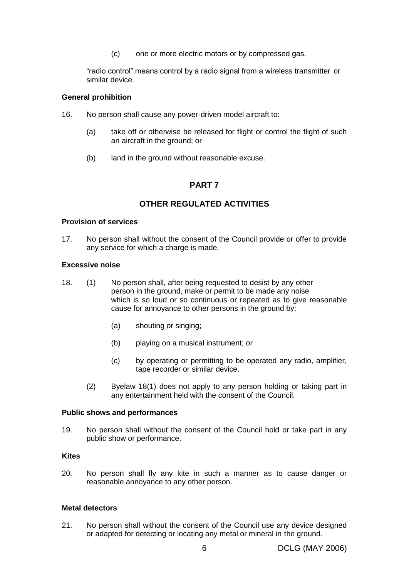(c) one or more electric motors or by compressed gas.

"radio control" means control by a radio signal from a wireless transmitter or similar device.

### **General prohibition**

- 16. No person shall cause any power-driven model aircraft to:
	- (a) take off or otherwise be released for flight or control the flight of such an aircraft in the ground; or
	- (b) land in the ground without reasonable excuse.

### **PART 7**

### **OTHER REGULATED ACTIVITIES**

### **Provision of services**

17. No person shall without the consent of the Council provide or offer to provide any service for which a charge is made.

#### **Excessive noise**

- 18. (1) No person shall, after being requested to desist by any other person in the ground, make or permit to be made any noise which is so loud or so continuous or repeated as to give reasonable cause for annoyance to other persons in the ground by:
	- (a) shouting or singing;
	- (b) playing on a musical instrument; or
	- (c) by operating or permitting to be operated any radio, amplifier, tape recorder or similar device.
	- (2) Byelaw 18(1) does not apply to any person holding or taking part in any entertainment held with the consent of the Council.

#### **Public shows and performances**

19. No person shall without the consent of the Council hold or take part in any public show or performance.

#### **Kites**

20. No person shall fly any kite in such a manner as to cause danger or reasonable annoyance to any other person.

#### **Metal detectors**

21. No person shall without the consent of the Council use any device designed or adapted for detecting or locating any metal or mineral in the ground.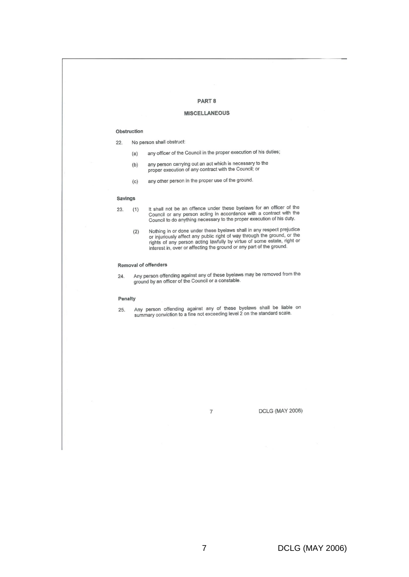#### PART<sub>8</sub>

#### **MISCELLANEOUS**

#### Obstruction

 $22.$ No person shall obstruct:

- any officer of the Council in the proper execution of his duties;  $(a)$
- any person carrying out an act which is necessary to the  $(b)$ proper execution of any contract with the Council; or
- any other person in the proper use of the ground.  $(c)$

#### **Savings**

It shall not be an offence under these byelaws for an officer of the Council or any person acting in accordance with a contract with the Council to do anything necessary to the proper execution of his duty.  $(1)$ 

Nothing in or done under these byelaws shall in any respect prejudice<br>or injuriously affect any public right of way through the ground, or the<br>rights of any person acting lawfully by virtue of some estate, right or<br>interes  $(2)$ 

#### Removal of offenders

Any person offending against any of these byelaws may be removed from the 24. ground by an officer of the Council or a constable.

#### Penalty

Any person offending against any of these byelaws shall be liable on summary conviction to a fine not exceeding level 2 on the standard scale. 25.

 $\overline{7}$ 

**DCLG (MAY 2006)** 

<sup>23.</sup>